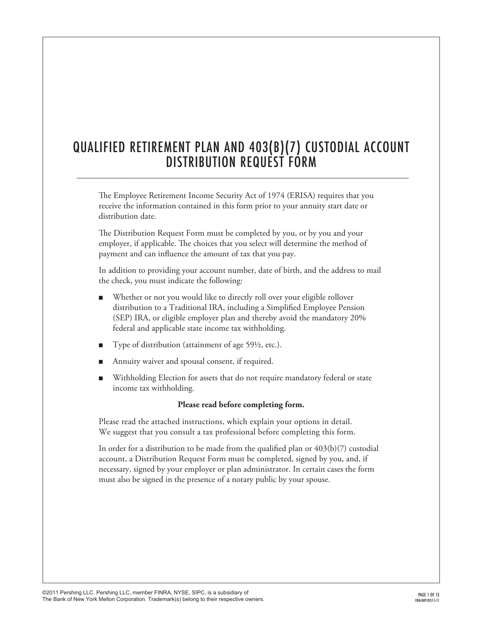# QUALIFIED RETIREMENT PLAN AND 403(b)(7) CUSTODIAL ACCOUNT DISTRIBUTION REQUEST FORM

\_\_\_\_\_\_\_\_\_\_\_\_\_\_\_\_\_\_\_\_\_\_\_\_\_\_\_\_\_\_\_\_\_\_\_\_\_\_\_\_\_\_\_\_\_\_\_\_\_\_\_\_\_\_\_\_\_\_\_\_\_\_\_\_\_\_\_\_\_\_\_\_\_\_\_\_\_

The Employee Retirement Income Security Act of 1974 (ERISA) requires that you receive the information contained in this form prior to your annuity start date or distribution date.

The Distribution Request Form must be completed by you, or by you and your employer, if applicable. The choices that you select will determine the method of payment and can influence the amount of tax that you pay.

In addition to providing your account number, date of birth, and the address to mail the check, you must indicate the following:

- Whether or not you would like to directly roll over your eligible rollover distribution to a Traditional IRA, including a Simplified Employee Pension (SEP) IRA, or eligible employer plan and thereby avoid the mandatory 20% federal and applicable state income tax withholding.
- Type of distribution (attainment of age  $59\frac{1}{2}$ , etc.).
- Annuity waiver and spousal consent, if required.
- <sup>n</sup> Withholding Election for assets that do not require mandatory federal or state income tax withholding.

## **Please read before completing form.**

Please read the attached instructions, which explain your options in detail. We suggest that you consult a tax professional before completing this form.

In order for a distribution to be made from the qualified plan or  $403(b)(7)$  custodial account, a Distribution Request Form must be completed, signed by you, and, if necessary, signed by your employer or plan administrator. In certain cases the form must also be signed in the presence of a notary public by your spouse.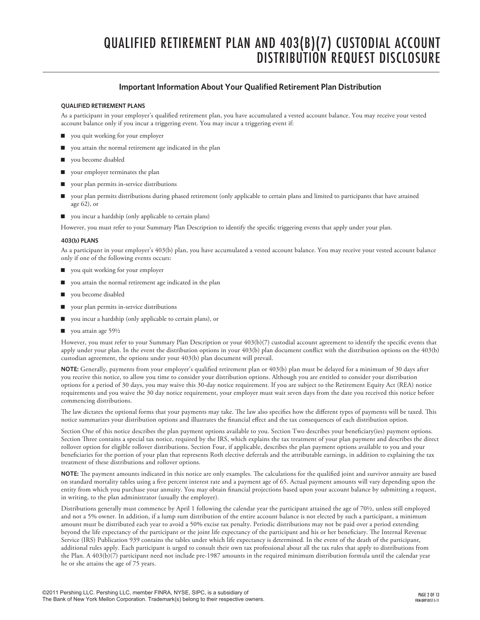# QUALIFIED RETIREMENT PLAN AND 403(b)(7) CUSTODIAL ACCOUNT DISTRIBUTION REQUEST disclosure

## **Important Information About Your Qualified Retirement Plan Distribution**

## **QUALIFIED RETIREMENT PLANS**

As a participant in your employer's qualified retirement plan, you have accumulated a vested account balance. You may receive your vested account balance only if you incur a triggering event. You may incur a triggering event if:

- vou quit working for your employer
- you attain the normal retirement age indicated in the plan
- vou become disabled
- $\Box$  your employer terminates the plan
- your plan permits in-service distributions
- n your plan permits distributions during phased retirement (only applicable to certain plans and limited to participants that have attained age 62), or
- you incur a hardship (only applicable to certain plans)

However, you must refer to your Summary Plan Description to identify the specific triggering events that apply under your plan.

## **403(b) PLANS**

As a participant in your employer's 403(b) plan, you have accumulated a vested account balance. You may receive your vested account balance only if one of the following events occurs:

- vou quit working for your employer
- you attain the normal retirement age indicated in the plan
- vou become disabled
- n your plan permits in-service distributions
- n you incur a hardship (only applicable to certain plans), or
- vou attain age  $59\frac{1}{2}$

However, you must refer to your Summary Plan Description or your 403(b)(7) custodial account agreement to identify the specific events that apply under your plan. In the event the distribution options in your 403(b) plan document conflict with the distribution options on the 403(b) custodian agreement, the options under your 403(b) plan document will prevail.

**NOTE:** Generally, payments from your employer's qualified retirement plan or 403(b) plan must be delayed for a minimum of 30 days after you receive this notice, to allow you time to consider your distribution options. Although you are entitled to consider your distribution options for a period of 30 days, you may waive this 30-day notice requirement. If you are subject to the Retirement Equity Act (REA) notice requirements and you waive the 30 day notice requirement, your employer must wait seven days from the date you received this notice before commencing distributions.

The law dictates the optional forms that your payments may take. The law also specifies how the different types of payments will be taxed. This notice summarizes your distribution options and illustrates the financial effect and the tax consequences of each distribution option.

Section One of this notice describes the plan payment options available to you. Section Two describes your beneficiary(ies) payment options. Section Three contains a special tax notice, required by the IRS, which explains the tax treatment of your plan payment and describes the direct rollover option for eligible rollover distributions. Section Four, if applicable, describes the plan payment options available to you and your beneficiaries for the portion of your plan that represents Roth elective deferrals and the attributable earnings, in addition to explaining the tax treatment of these distributions and rollover options.

**NOTE:** The payment amounts indicated in this notice are only examples. The calculations for the qualified joint and survivor annuity are based on standard mortality tables using a five percent interest rate and a payment age of 65. Actual payment amounts will vary depending upon the entity from which you purchase your annuity. You may obtain financial projections based upon your account balance by submitting a request, in writing, to the plan administrator (usually the employer).

Distributions generally must commence by April 1 following the calendar year the participant attained the age of 70½, unless still employed and not a 5% owner. In addition, if a lump sum distribution of the entire account balance is not elected by such a participant, a minimum amount must be distributed each year to avoid a 50% excise tax penalty. Periodic distributions may not be paid over a period extending beyond the life expectancy of the participant or the joint life expectancy of the participant and his or her beneficiary. The Internal Revenue Service (IRS) Publication 939 contains the tables under which life expectancy is determined. In the event of the death of the participant, additional rules apply. Each participant is urged to consult their own tax professional about all the tax rules that apply to distributions from the Plan. A 403(b)(7) participant need not include pre-1987 amounts in the required minimum distribution formula until the calendar year he or she attains the age of 75 years.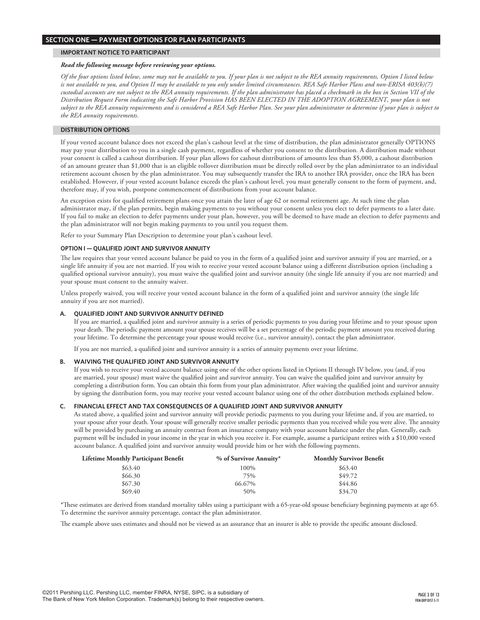## **section one — PAYMENT OPTIONS FOR PLAN PARTICIPANTS**

## **important notice to participant**

#### *Read the following message before reviewing your options.*

*Of the four options listed below, some may not be available to you. If your plan is not subject to the REA annuity requirements, Option I listed below is not available to you, and Option II may be available to you only under limited circumstances. REA Safe Harbor Plans and non-ERISA 403(b)(7) custodial accounts are not subject to the REA annuity requirements. If the plan administrator has placed a checkmark in the box in Section VII of the Distribution Request Form indicating the Safe Harbor Provision HAS BEEN ELECTED IN THE ADOPTION AGREEMENT, your plan is not subject to the REA annuity requirements and is considered a REA Safe Harbor Plan. See your plan administrator to determine if your plan is subject to the REA annuity requirements.*

## **distribution options**

If your vested account balance does not exceed the plan's cashout level at the time of distribution, the plan administrator generally OPTIONS may pay your distribution to you in a single cash payment, regardless of whether you consent to the distribution. A distribution made without your consent is called a cashout distribution. If your plan allows for cashout distributions of amounts less than \$5,000, a cashout distribution of an amount greater than \$1,000 that is an eligible rollover distribution must be directly rolled over by the plan administrator to an individual retirement account chosen by the plan administrator. You may subsequently transfer the IRA to another IRA provider, once the IRA has been established. However, if your vested account balance exceeds the plan's cashout level, you must generally consent to the form of payment, and, therefore may, if you wish, postpone commencement of distributions from your account balance.

An exception exists for qualified retirement plans once you attain the later of age 62 or normal retirement age. At such time the plan administrator may, if the plan permits, begin making payments to you without your consent unless you elect to defer payments to a later date. If you fail to make an election to defer payments under your plan, however, you will be deemed to have made an election to defer payments and the plan administrator will not begin making payments to you until you request them.

Refer to your Summary Plan Description to determine your plan's cashout level.

## **OPTION I — QUALIFIED JOINT AND SURVIVOR ANNUITY**

The law requires that your vested account balance be paid to you in the form of a qualified joint and survivor annuity if you are married, or a single life annuity if you are not married. If you wish to receive your vested account balance using a different distribution option (including a qualified optional survivor annuity), you must waive the qualified joint and survivor annuity (the single life annuity if you are not married) and your spouse must consent to the annuity waiver.

Unless properly waived, you will receive your vested account balance in the form of a qualified joint and survivor annuity (the single life annuity if you are not married).

## **A. QUALIFIED JOINT AND SURVIVOR ANNUITY DEFINED**

If you are married, a qualified joint and survivor annuity is a series of periodic payments to you during your lifetime and to your spouse upon your death. The periodic payment amount your spouse receives will be a set percentage of the periodic payment amount you received during your lifetime. To determine the percentage your spouse would receive (i.e., survivor annuity), contact the plan administrator.

If you are not married, a qualified joint and survivor annuity is a series of annuity payments over your lifetime.

## **B. WAIVING THE QUALIFIED JOINT AND SURVIVOR ANNUITY**

If you wish to receive your vested account balance using one of the other options listed in Options II through IV below, you (and, if you are married, your spouse) must waive the qualified joint and survivor annuity. You can waive the qualified joint and survivor annuity by completing a distribution form. You can obtain this form from your plan administrator. After waiving the qualified joint and survivor annuity by signing the distribution form, you may receive your vested account balance using one of the other distribution methods explained below.

## **C. FINANCIAL EFFECT AND TAX CONSEQUENCES OF A QUALIFIED JOINT AND SURVIVOR ANNUITY**

As stated above, a qualified joint and survivor annuity will provide periodic payments to you during your lifetime and, if you are married, to your spouse after your death. Your spouse will generally receive smaller periodic payments than you received while you were alive. The annuity will be provided by purchasing an annuity contract from an insurance company with your account balance under the plan. Generally, each payment will be included in your income in the year in which you receive it. For example, assume a participant retires with a \$10,000 vested account balance. A qualified joint and survivor annuity would provide him or her with the following payments.

| <b>Lifetime Monthly Participant Benefit</b> | % of Survivor Annuity* | <b>Monthly Survivor Benefit</b> |
|---------------------------------------------|------------------------|---------------------------------|
| \$63.40                                     | 100%                   | \$63.40                         |
| \$66.30                                     | 75%                    | \$49.72                         |
| \$67.30                                     | 66.67%                 | \$44.86                         |
| \$69.40                                     | 50%                    | \$34.70                         |

\*These estimates are derived from standard mortality tables using a participant with a 65-year-old spouse beneficiary beginning payments at age 65. To determine the survivor annuity percentage, contact the plan administrator.

The example above uses estimates and should not be viewed as an assurance that an insurer is able to provide the specific amount disclosed.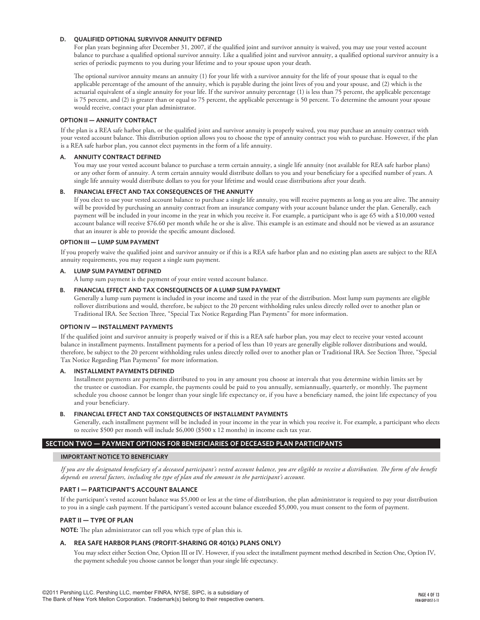## **D. QUALIFIED OPTIONAL SURVIVOR ANNUITY DEFINED**

For plan years beginning after December 31, 2007, if the qualified joint and survivor annuity is waived, you may use your vested account balance to purchase a qualified optional survivor annuity. Like a qualified joint and survivor annuity, a qualified optional survivor annuity is a series of periodic payments to you during your lifetime and to your spouse upon your death.

The optional survivor annuity means an annuity (1) for your life with a survivor annuity for the life of your spouse that is equal to the applicable percentage of the amount of the annuity, which is payable during the joint lives of you and your spouse, and (2) which is the actuarial equivalent of a single annuity for your life. If the survivor annuity percentage (1) is less than 75 percent, the applicable percentage is 75 percent, and (2) is greater than or equal to 75 percent, the applicable percentage is 50 percent. To determine the amount your spouse would receive, contact your plan administrator.

## **OPTION II — ANNUITY CONTRACT**

If the plan is a REA safe harbor plan, or the qualified joint and survivor annuity is properly waived, you may purchase an annuity contract with your vested account balance. This distribution option allows you to choose the type of annuity contract you wish to purchase. However, if the plan is a REA safe harbor plan, you cannot elect payments in the form of a life annuity.

## **A. ANNUITY CONTRACT DEFINED**

You may use your vested account balance to purchase a term certain annuity, a single life annuity (not available for REA safe harbor plans) or any other form of annuity. A term certain annuity would distribute dollars to you and your beneficiary for a specified number of years. A single life annuity would distribute dollars to you for your lifetime and would cease distributions after your death.

## **B. FINANCIAL EFFECT AND TAX CONSEQUENCES OF THE ANNUITY**

If you elect to use your vested account balance to purchase a single life annuity, you will receive payments as long as you are alive. The annuity will be provided by purchasing an annuity contract from an insurance company with your account balance under the plan. Generally, each payment will be included in your income in the year in which you receive it. For example, a participant who is age 65 with a \$10,000 vested account balance will receive \$76.60 per month while he or she is alive. This example is an estimate and should not be viewed as an assurance that an insurer is able to provide the specific amount disclosed.

## **OPTION III — LUMP SUM PAYMENT**

If you properly waive the qualified joint and survivor annuity or if this is a REA safe harbor plan and no existing plan assets are subject to the REA annuity requirements, you may request a single sum payment.

## **A. LUMP SUM PAYMENT DEFINED**

A lump sum payment is the payment of your entire vested account balance.

## **B. FINANCIAL EFFECT AND TAX CONSEQUENCES OF A LUMP SUM PAYMENT**

Generally a lump sum payment is included in your income and taxed in the year of the distribution. Most lump sum payments are eligible rollover distributions and would, therefore, be subject to the 20 percent withholding rules unless directly rolled over to another plan or Traditional IRA. See Section Three, "Special Tax Notice Regarding Plan Payments" for more information.

## **OPTION IV — INSTALLMENT PAYMENTS**

If the qualified joint and survivor annuity is properly waived or if this is a REA safe harbor plan, you may elect to receive your vested account balance in installment payments. Installment payments for a period of less than 10 years are generally eligible rollover distributions and would, therefore, be subject to the 20 percent withholding rules unless directly rolled over to another plan or Traditional IRA. See Section Three, "Special Tax Notice Regarding Plan Payments" for more information.

## **A. INSTALLMENT PAYMENTS DEFINED**

Installment payments are payments distributed to you in any amount you choose at intervals that you determine within limits set by the trustee or custodian. For example, the payments could be paid to you annually, semiannually, quarterly, or monthly. The payment schedule you choose cannot be longer than your single life expectancy or, if you have a beneficiary named, the joint life expectancy of you and your beneficiary.

## **B. FINANCIAL EFFECT AND TAX CONSEQUENCES OF INSTALLMENT PAYMENTS**

Generally, each installment payment will be included in your income in the year in which you receive it. For example, a participant who elects to receive \$500 per month will include \$6,000 (\$500 x 12 months) in income each tax year.

## **SECTION TWO — PAYMENT OPTIONS FOR BENEFICIARIES OF DECEASED PLAN PARTICIPANTS**

## **IMPORTANT NOTICE TO BENEFICIARY**

*If you are the designated beneficiary of a deceased participant's vested account balance, you are eligible to receive a distribution. The form of the benefit depends on several factors, including the type of plan and the amount in the participant's account.*

## **PART I — PARTICIPANT'S ACCOUNT BALANCE**

If the participant's vested account balance was \$5,000 or less at the time of distribution, the plan administrator is required to pay your distribution to you in a single cash payment. If the participant's vested account balance exceeded \$5,000, you must consent to the form of payment.

## **PART II — TYPE OF PLAN**

**NOTE:** The plan administrator can tell you which type of plan this is.

## **A. REA SAFE HARBOR PLANS (PROFIT-SHARING OR 401(k) PLANS ONLY)**

You may select either Section One, Option III or IV. However, if you select the installment payment method described in Section One, Option IV, the payment schedule you choose cannot be longer than your single life expectancy.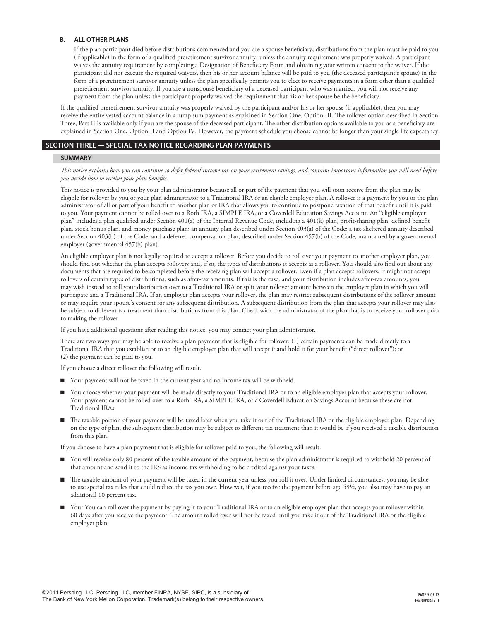## **B. ALL OTHER PLANS**

If the plan participant died before distributions commenced and you are a spouse beneficiary, distributions from the plan must be paid to you (if applicable) in the form of a qualified preretirement survivor annuity, unless the annuity requirement was properly waived. A participant waives the annuity requirement by completing a Designation of Beneficiary Form and obtaining your written consent to the waiver. If the participant did not execute the required waivers, then his or her account balance will be paid to you (the deceased participant's spouse) in the form of a preretirement survivor annuity unless the plan specifically permits you to elect to receive payments in a form other than a qualified preretirement survivor annuity. If you are a nonspouse beneficiary of a deceased participant who was married, you will not receive any payment from the plan unless the participant properly waived the requirement that his or her spouse be the beneficiary.

If the qualified preretirement survivor annuity was properly waived by the participant and/or his or her spouse (if applicable), then you may receive the entire vested account balance in a lump sum payment as explained in Section One, Option III. The rollover option described in Section Three, Part II is available only if you are the spouse of the deceased participant. The other distribution options available to you as a beneficiary are explained in Section One, Option II and Option IV. However, the payment schedule you choose cannot be longer than your single life expectancy.

## **section THREE — SPECIAL TAX NOTICE REGARDING PLAN PAYMENTS**

## **summary**

*This notice explains how you can continue to defer federal income tax on your retirement savings, and contains important information you will need before you decide how to receive your plan benefits.*

This notice is provided to you by your plan administrator because all or part of the payment that you will soon receive from the plan may be eligible for rollover by you or your plan administrator to a Traditional IRA or an eligible employer plan. A rollover is a payment by you or the plan administrator of all or part of your benefit to another plan or IRA that allows you to continue to postpone taxation of that benefit until it is paid to you. Your payment cannot be rolled over to a Roth IRA, a SIMPLE IRA, or a Coverdell Education Savings Account. An "eligible employer plan" includes a plan qualified under Section 401(a) of the Internal Revenue Code, including a 401(k) plan, profit-sharing plan, defined benefit plan, stock bonus plan, and money purchase plan; an annuity plan described under Section 403(a) of the Code; a tax-sheltered annuity described under Section 403(b) of the Code; and a deferred compensation plan, described under Section 457(b) of the Code, maintained by a governmental employer (governmental 457(b) plan).

An eligible employer plan is not legally required to accept a rollover. Before you decide to roll over your payment to another employer plan, you should find out whether the plan accepts rollovers and, if so, the types of distributions it accepts as a rollover. You should also find out about any documents that are required to be completed before the receiving plan will accept a rollover. Even if a plan accepts rollovers, it might not accept rollovers of certain types of distributions, such as after-tax amounts. If this is the case, and your distribution includes after-tax amounts, you may wish instead to roll your distribution over to a Traditional IRA or split your rollover amount between the employer plan in which you will participate and a Traditional IRA. If an employer plan accepts your rollover, the plan may restrict subsequent distributions of the rollover amount or may require your spouse's consent for any subsequent distribution. A subsequent distribution from the plan that accepts your rollover may also be subject to different tax treatment than distributions from this plan. Check with the administrator of the plan that is to receive your rollover prior to making the rollover.

If you have additional questions after reading this notice, you may contact your plan administrator.

There are two ways you may be able to receive a plan payment that is eligible for rollover: (1) certain payments can be made directly to a Traditional IRA that you establish or to an eligible employer plan that will accept it and hold it for your benefit ("direct rollover"); or (2) the payment can be paid to you.

If you choose a direct rollover the following will result.

- n Your payment will not be taxed in the current year and no income tax will be withheld.
- You choose whether your payment will be made directly to your Traditional IRA or to an eligible employer plan that accepts your rollover. Your payment cannot be rolled over to a Roth IRA, a SIMPLE IRA, or a Coverdell Education Savings Account because these are not Traditional IRAs.
- The taxable portion of your payment will be taxed later when you take it out of the Traditional IRA or the eligible employer plan. Depending on the type of plan, the subsequent distribution may be subject to different tax treatment than it would be if you received a taxable distribution from this plan.

If you choose to have a plan payment that is eligible for rollover paid to you, the following will result.

- n You will receive only 80 percent of the taxable amount of the payment, because the plan administrator is required to withhold 20 percent of that amount and send it to the IRS as income tax withholding to be credited against your taxes.
- n The taxable amount of your payment will be taxed in the current year unless you roll it over. Under limited circumstances, you may be able to use special tax rules that could reduce the tax you owe. However, if you receive the payment before age 59½, you also may have to pay an additional 10 percent tax.
- Your You can roll over the payment by paying it to your Traditional IRA or to an eligible employer plan that accepts your rollover within 60 days after you receive the payment. The amount rolled over will not be taxed until you take it out of the Traditional IRA or the eligible employer plan.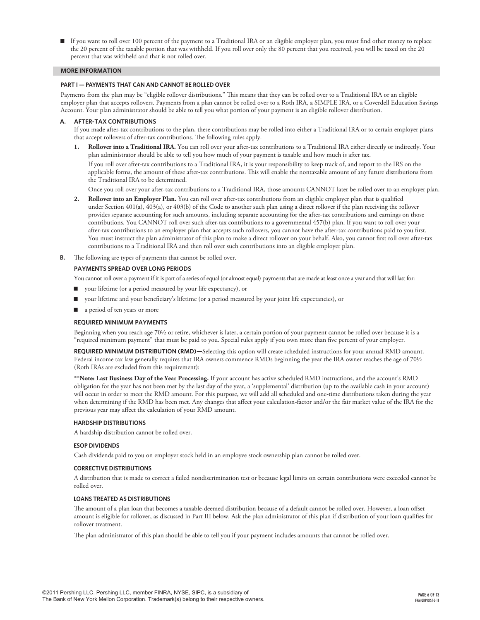n If you want to roll over 100 percent of the payment to a Traditional IRA or an eligible employer plan, you must find other money to replace the 20 percent of the taxable portion that was withheld. If you roll over only the 80 percent that you received, you will be taxed on the 20 percent that was withheld and that is not rolled over.

#### **more information**

#### **PART I — PAYMENTS THAT CAN AND CANNOT BE ROLLED OVER**

Payments from the plan may be "eligible rollover distributions." This means that they can be rolled over to a Traditional IRA or an eligible employer plan that accepts rollovers. Payments from a plan cannot be rolled over to a Roth IRA, a SIMPLE IRA, or a Coverdell Education Savings Account. Your plan administrator should be able to tell you what portion of your payment is an eligible rollover distribution.

## **A. AFTER-TAX CONTRIBUTIONS**

If you made after-tax contributions to the plan, these contributions may be rolled into either a Traditional IRA or to certain employer plans that accept rollovers of after-tax contributions. The following rules apply.

**1. Rollover into a Traditional IRA.** You can roll over your after-tax contributions to a Traditional IRA either directly or indirectly. Your plan administrator should be able to tell you how much of your payment is taxable and how much is after tax. If you roll over after-tax contributions to a Traditional IRA, it is your responsibility to keep track of, and report to the IRS on the

applicable forms, the amount of these after-tax contributions. This will enable the nontaxable amount of any future distributions from the Traditional IRA to be determined.

Once you roll over your after-tax contributions to a Traditional IRA, those amounts CANNOT later be rolled over to an employer plan.

- **2. Rollover into an Employer Plan.** You can roll over after-tax contributions from an eligible employer plan that is qualified under Section 401(a), 403(a), or 403(b) of the Code to another such plan using a direct rollover if the plan receiving the rollover provides separate accounting for such amounts, including separate accounting for the after-tax contributions and earnings on those contributions. You CANNOT roll over such after-tax contributions to a governmental 457(b) plan. If you want to roll over your after-tax contributions to an employer plan that accepts such rollovers, you cannot have the after-tax contributions paid to you first. You must instruct the plan administrator of this plan to make a direct rollover on your behalf. Also, you cannot first roll over after-tax contributions to a Traditional IRA and then roll over such contributions into an eligible employer plan.
- **B.** The following are types of payments that cannot be rolled over.

## **PAYMENTS SPREAD OVER LONG PERIODS**

You cannot roll over a payment if it is part of a series of equal (or almost equal) payments that are made at least once a year and that will last for:

- n your lifetime (or a period measured by your life expectancy), or
- n your lifetime and your beneficiary's lifetime (or a period measured by your joint life expectancies), or
- a period of ten years or more

## **REQUIRED MINIMUM PAYMENTS**

Beginning when you reach age 70½ or retire, whichever is later, a certain portion of your payment cannot be rolled over because it is a "required minimum payment" that must be paid to you. Special rules apply if you own more than five percent of your employer.

**REQUIRED MINIMUM DISTRIBUTION (RMD)—**Selecting this option will create scheduled instructions for your annual RMD amount. Federal income tax law generally requires that IRA owners commence RMDs beginning the year the IRA owner reaches the age of 70½ (Roth IRAs are excluded from this requirement):

**\*\*Note: Last Business Day of the Year Processing.** If your account has active scheduled RMD instructions, and the account's RMD obligation for the year has not been met by the last day of the year, a 'supplemental' distribution (up to the available cash in your account) will occur in order to meet the RMD amount. For this purpose, we will add all scheduled and one-time distributions taken during the year when determining if the RMD has been met. Any changes that affect your calculation-factor and/or the fair market value of the IRA for the previous year may affect the calculation of your RMD amount.

## **HARDSHIP DISTRIBUTIONS**

A hardship distribution cannot be rolled over.

## **ESOP DIVIDENDS**

Cash dividends paid to you on employer stock held in an employee stock ownership plan cannot be rolled over.

#### **CORRECTIVE DISTRIBUTIONS**

A distribution that is made to correct a failed nondiscrimination test or because legal limits on certain contributions were exceeded cannot be rolled over.

#### **LOANS TREATED AS DISTRIBUTIONS**

The amount of a plan loan that becomes a taxable-deemed distribution because of a default cannot be rolled over. However, a loan offset amount is eligible for rollover, as discussed in Part III below. Ask the plan administrator of this plan if distribution of your loan qualifies for rollover treatment.

The plan administrator of this plan should be able to tell you if your payment includes amounts that cannot be rolled over.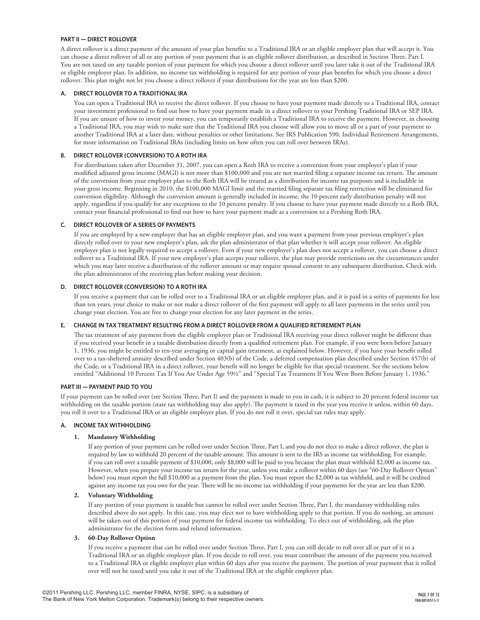## **PART II — DIRECT ROLLOVER**

A direct rollover is a direct payment of the amount of your plan benefits to a Traditional IRA or an eligible employer plan that will accept it. You can choose a direct rollover of all or any portion of your payment that is an eligible rollover distribution, as described in Section Three, Part I. You are not taxed on any taxable portion of your payment for which you choose a direct rollover until you later take it out of the Traditional IRA or eligible employer plan. In addition, no income tax withholding is required for any portion of your plan benefits for which you choose a direct rollover. This plan might not let you choose a direct rollover if your distributions for the year are less than \$200.

## **A. DIRECT ROLLOVER TO A TRADITIONAL IRA**

You can open a Traditional IRA to receive the direct rollover. If you choose to have your payment made directly to a Traditional IRA, contact your investment professional to find out how to have your payment made in a direct rollover to your Pershing Traditional IRA or SEP IRA. If you are unsure of how to invest your money, you can temporarily establish a Traditional IRA to receive the payment. However, in choosing a Traditional IRA, you may wish to make sure that the Traditional IRA you choose will allow you to move all or a part of your payment to another Traditional IRA at a later date, without penalties or other limitations. See IRS Publication 590, Individual Retirement Arrangements, for more information on Traditional IRAs (including limits on how often you can roll over between IRAs).

## **B. DIRECT ROLLOVER (CONVERSION) TO A ROTH IRA**

For distributions taken after December 31, 2007, you can open a Roth IRA to receive a conversion from your employer's plan if your modified adjusted gross income (MAGI) is not more than \$100,000 and you are not married filing a separate income tax return. The amount of the conversion from your employer plan to the Roth IRA will be treated as a distribution for income tax purposes and is includible in your gross income. Beginning in 2010, the \$100,000 MAGI limit and the married filing separate tax filing restriction will be eliminated for conversion eligibility. Although the conversion amount is generally included in income, the 10 percent early distribution penalty will not apply, regardless if you qualify for any exceptions to the 10 percent penalty. If you choose to have your payment made directly to a Roth IRA, contact your financial professional to find out how to have your payment made as a conversion to a Pershing Roth IRA.

## **C. DIRECT ROLLOVER OF A SERIES OF PAYMENTS**

If you are employed by a new employer that has an eligible employer plan, and you want a payment from your previous employer's plan directly rolled over to your new employer's plan, ask the plan administrator of that plan whether it will accept your rollover. An eligible employer plan is not legally required to accept a rollover. Even if your new employer's plan does not accept a rollover, you can choose a direct rollover to a Traditional IRA. If your new employer's plan accepts your rollover, the plan may provide restrictions on the circumstances under which you may later receive a distribution of the rollover amount or may require spousal consent to any subsequent distribution. Check with the plan administrator of the receiving plan before making your decision.

## **D. DIRECT ROLLOVER (CONVERSION) TO A ROTH IRA**

If you receive a payment that can be rolled over to a Traditional IRA or an eligible employer plan, and it is paid in a series of payments for less than ten years, your choice to make or not make a direct rollover of the first payment will apply to all later payments in the series until you change your election. You are free to change your election for any later payment in the series.

## **E. CHANGE IN TAX TREATMENT RESULTING FROM A DIRECT ROLLOVER FROM A QUALIFIED RETIREMENT PLAN**

The tax treatment of any payment from the eligible employer plan or Traditional IRA receiving your direct rollover might be different than if you received your benefit in a taxable distribution directly from a qualified retirement plan. For example, if you were born before January 1, 1936, you might be entitled to ten-year averaging or capital gain treatment, as explained below. However, if you have your benefit rolled over to a tax-sheltered annuity described under Section 403(b) of the Code, a deferred compensation plan described under Section 457(b) of the Code, or a Traditional IRA in a direct rollover, your benefit will no longer be eligible for that special treatment. See the sections below entitled "Additional 10 Percent Tax If You Are Under Age 59½" and "Special Tax Treatment If You Were Born Before January 1, 1936."

## **PART III — PAYMENT PAID TO YOU**

If your payment can be rolled over (see Section Three, Part I) and the payment is made to you in cash, it is subject to 20 percent federal income tax withholding on the taxable portion (state tax withholding may also apply). The payment is taxed in the year you receive it unless, within 60 days, you roll it over to a Traditional IRA or an eligible employer plan. If you do not roll it over, special tax rules may apply.

## **A. INCOME TAX WITHHOLDING**

## **1. Mandatory Withholding**

If any portion of your payment can be rolled over under Section Three, Part I, and you do not elect to make a direct rollover, the plan is required by law to withhold 20 percent of the taxable amount. This amount is sent to the IRS as income tax withholding. For example, if you can roll over a taxable payment of \$10,000, only \$8,000 will be paid to you because the plan must withhold \$2,000 as income tax. However, when you prepare your income tax return for the year, unless you make a rollover within 60 days (see "60-Day Rollover Option" below) you must report the full \$10,000 as a payment from the plan. You must report the \$2,000 as tax withheld, and it will be credited against any income tax you owe for the year. There will be no income tax withholding if your payments for the year are less than \$200.

## **2. Voluntary Withholding**

If any portion of your payment is taxable but cannot be rolled over under Section Three, Part I, the mandatory withholding rules described above do not apply. In this case, you may elect not to have withholding apply to that portion. If you do nothing, an amount will be taken out of this portion of your payment for federal income tax withholding. To elect out of withholding, ask the plan administrator for the election form and related information.

## **3. 60-Day Rollover Option**

If you receive a payment that can be rolled over under Section Three, Part I, you can still decide to roll over all or part of it to a Traditional IRA or an eligible employer plan. If you decide to roll over, you must contribute the amount of the payment you received to a Traditional IRA or eligible employer plan within 60 days after you receive the payment. The portion of your payment that is rolled over will not be taxed until you take it out of the Traditional IRA or the eligible employer plan.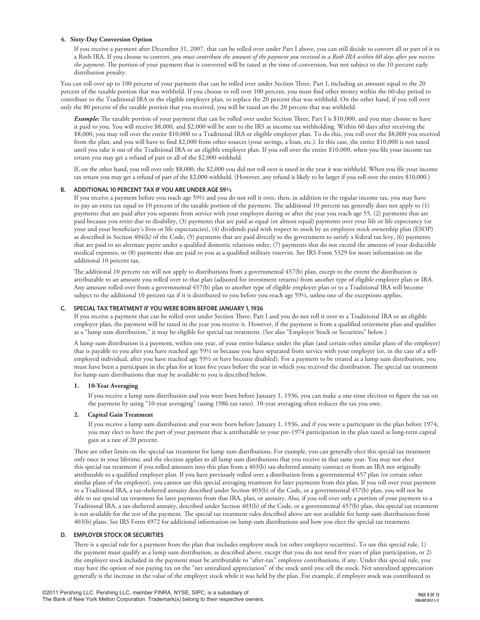## **4. Sixty-Day Conversion Option**

If you receive a payment after December 31, 2007, that can be rolled over under Part I above, you can still decide to convert all or part of it to a Roth IRA. If you choose to convert, *you must contribute the amount of the payment you received to a Roth IRA within 60 days after you receive the payment*. The portion of your payment that is converted will be taxed at the time of conversion, but not subject to the 10 percent early distribution penalty.

You can roll over up to 100 percent of your payment that can be rolled over under Section Three, Part I, including an amount equal to the 20 percent of the taxable portion that was withheld. If you choose to roll over 100 percent, you must find other money within the 60-day period to contribute to the Traditional IRA or the eligible employer plan, to replace the 20 percent that was withheld. On the other hand, if you roll over only the 80 percent of the taxable portion that you received, you will be taxed on the 20 percent that was withheld.

*Example:* The taxable portion of your payment that can be rolled over under Section Three, Part I is \$10,000, and you may choose to have it paid to you. You will receive \$8,000, and \$2,000 will be sent to the IRS as income tax withholding. Within 60 days after receiving the \$8,000, you may roll over the entire \$10,000 to a Traditional IRA or eligible employer plan. To do this, you roll over the \$8,000 you received from the plan, and you will have to find \$2,000 from other sources (your savings, a loan, etc.). In this case, the entire \$10,000 is not taxed until you take it out of the Traditional IRA or an eligible employer plan. If you roll over the entire \$10,000, when you file your income tax return you may get a refund of part or all of the \$2,000 withheld.

If, on the other hand, you roll over only \$8,000, the \$2,000 you did not roll over is taxed in the year it was withheld. When you file your income tax return you may get a refund of part of the \$2,000 withheld. (However, any refund is likely to be larger if you roll over the entire \$10,000.)

## **B. ADDITIONAL 10 PERCENT TAX IF YOU ARE UNDER AGE 59½**

If you receive a payment before you reach age 59½ and you do not roll it over, then, in addition to the regular income tax, you may have to pay an extra tax equal to 10 percent of the taxable portion of the payment. The additional 10 percent tax generally does not apply to (1) payments that are paid after you separate from service with your employer during or after the year you reach age 55, (2) payments that are paid because you retire due to disability, (3) payments that are paid as equal (or almost equal) payments over your life or life expectancy (or your and your beneficiary's lives or life expectancies), (4) dividends paid with respect to stock by an employee stock ownership plan (ESOP) as described in Section 404(k) of the Code, (5) payments that are paid directly to the government to satisfy a federal tax levy, (6) payments that are paid to an alternate payee under a qualified domestic relations order, (7) payments that do not exceed the amount of your deductible medical expenses, or (8) payments that are paid to you as a qualified military reservist. See IRS Form 5329 for more information on the additional 10 percent tax.

The additional 10 percent tax will not apply to distributions from a governmental 457(b) plan, except to the extent the distribution is attributable to an amount you rolled over to that plan (adjusted for investment returns) from another type of eligible employer plan or IRA. Any amount rolled over from a governmental 457(b) plan to another type of eligible employer plan or to a Traditional IRA will become subject to the additional 10 percent tax if it is distributed to you before you reach age 59½, unless one of the exceptions applies.

## **C. SPECIAL TAX TREATMENT IF YOU WERE BORN BEFORE JANUARY 1, 1936**

If you receive a payment that can be rolled over under Section Three, Part I and you do not roll it over to a Traditional IRA or an eligible employer plan, the payment will be taxed in the year you receive it. However, if the payment is from a qualified retirement plan and qualifies as a "lump sum distribution," it may be eligible for special tax treatment. (See also "Employer Stock or Securities" below.)

A lump sum distribution is a payment, within one year, of your entire balance under the plan (and certain other similar plans of the employer) that is payable to you after you have reached age 59½ or because you have separated from service with your employer (or, in the case of a selfemployed individual, after you have reached age 59½ or have become disabled). For a payment to be treated as a lump sum distribution, you must have been a participant in the plan for at least five years before the year in which you received the distribution. The special tax treatment for lump sum distributions that may be available to you is described below.

## **1. 10-Year Averaging**

If you receive a lump sum distribution and you were born before January 1, 1936, you can make a one-time election to figure the tax on the payment by using "10-year averaging" (using 1986 tax rates). 10-year averaging often reduces the tax you owe.

## **2. Capital Gain Treatment**

If you receive a lump sum distribution and you were born before January 1, 1936, and if you were a participant in the plan before 1974, you may elect to have the part of your payment that is attributable to your pre-1974 participation in the plan taxed as long-term capital gain at a rate of 20 percent.

There are other limits on the special tax treatment for lump sum distributions. For example, you can generally elect this special tax treatment only once in your lifetime, and the election applies to all lump sum distributions that you receive in that same year. You may not elect this special tax treatment if you rolled amounts into this plan from a 403(b) tax-sheltered annuity contract or from an IRA not originally attributable to a qualified employer plan. If you have previously rolled over a distribution from a governmental 457 plan (or certain other similar plans of the employer), you cannot use this special averaging treatment for later payments from this plan. If you roll over your payment to a Traditional IRA, a tax-sheltered annuity described under Section 403(b) of the Code, or a governmental 457(b) plan, you will not be able to use special tax treatment for later payments from that IRA, plan, or annuity. Also, if you roll over only a portion of your payment to a Traditional IRA, a tax-sheltered annuity, described under Section 403(b) of the Code, or a governmental 457(b) plan, this special tax treatment is not available for the rest of the payment. The special tax treatment rules described above are not available for lump sum distributions from 403(b) plans. See IRS Form 4972 for additional information on lump sum distributions and how you elect the special tax treatment.

## **D. EMPLOYER STOCK OR SECURITIES**

There is a special rule for a payment from the plan that includes employer stock (or other employer securities). To use this special rule, 1) the payment must qualify as a lump sum distribution, as described above, except that you do not need five years of plan participation, or 2) the employer stock included in the payment must be attributable to "after-tax" employee contributions, if any. Under this special rule, you may have the option of not paying tax on the "net unrealized appreciation" of the stock until you sell the stock. Net unrealized appreciation generally is the increase in the value of the employer stock while it was held by the plan. For example, if employer stock was contributed to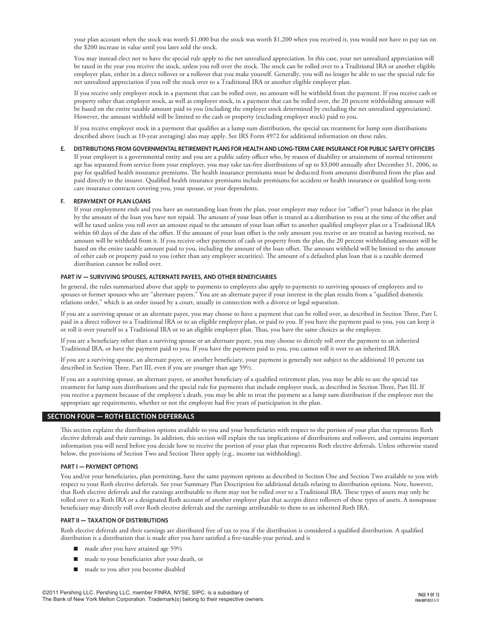your plan account when the stock was worth \$1,000 but the stock was worth \$1,200 when you received it, you would not have to pay tax on the \$200 increase in value until you later sold the stock.

You may instead elect not to have the special rule apply to the net unrealized appreciation. In this case, your net unrealized appreciation will be taxed in the year you receive the stock, unless you roll over the stock. The stock can be rolled over to a Traditional IRA or another eligible employer plan, either in a direct rollover or a rollover that you make yourself. Generally, you will no longer be able to use the special rule for net unrealized appreciation if you roll the stock over to a Traditional IRA or another eligible employer plan.

If you receive only employer stock in a payment that can be rolled over, no amount will be withheld from the payment. If you receive cash or property other than employer stock, as well as employer stock, in a payment that can be rolled over, the 20 percent withholding amount will be based on the entire taxable amount paid to you (including the employer stock determined by excluding the net unrealized appreciation). However, the amount withheld will be limited to the cash or property (excluding employer stock) paid to you.

If you receive employer stock in a payment that qualifies as a lump sum distribution, the special tax treatment for lump sum distributions described above (such as 10-year averaging) also may apply. See IRS Form 4972 for additional information on these rules.

## **E. DISTRIBUTIONS FROM GOVERNMENTAL RETIREMENT PLANS FOR HEALTH AND LONG-TERM CARE INSURANCE FOR PUBLIC SAFETY OFFICERS**

If your employer is a governmental entity and you are a public safety officer who, by reason of disability or attainment of normal retirement age has separated from service from your employer, you may take tax-free distributions of up to \$3,000 annually after December 31, 2006, to pay for qualified health insurance premiums. The health insurance premiums must be deducted from amounts distributed from the plan and paid directly to the insurer. Qualified health insurance premiums include premiums for accident or health insurance or qualified long-term care insurance contracts covering you, your spouse, or your dependents.

#### **F. REPAYMENT OF PLAN LOANS**

If your employment ends and you have an outstanding loan from the plan, your employer may reduce (or "offset") your balance in the plan by the amount of the loan you have not repaid. The amount of your loan offset is treated as a distribution to you at the time of the offset and will be taxed unless you roll over an amount equal to the amount of your loan offset to another qualified employer plan or a Traditional IRA within 60 days of the date of the offset. If the amount of your loan offset is the only amount you receive or are treated as having received, no amount will be withheld from it. If you receive other payments of cash or property from the plan, the 20 percent withholding amount will be based on the entire taxable amount paid to you, including the amount of the loan offset. The amount withheld will be limited to the amount of other cash or property paid to you (other than any employer securities). The amount of a defaulted plan loan that is a taxable deemed distribution cannot be rolled over.

#### **PART IV — SURVIVING SPOUSES, ALTERNATE PAYEES, AND OTHER BENEFICIARIES**

In general, the rules summarized above that apply to payments to employees also apply to payments to surviving spouses of employees and to spouses or former spouses who are "alternate payees." You are an alternate payee if your interest in the plan results from a "qualified domestic relations order," which is an order issued by a court, usually in connection with a divorce or legal separation.

If you are a surviving spouse or an alternate payee, you may choose to have a payment that can be rolled over, as described in Section Three, Part I, paid in a direct rollover to a Traditional IRA or to an eligible employer plan, or paid to you. If you have the payment paid to you, you can keep it or roll it over yourself to a Traditional IRA or to an eligible employer plan. Thus, you have the same choices as the employee.

If you are a beneficiary other than a surviving spouse or an alternate payee, you may choose to directly roll over the payment to an inherited Traditional IRA, or have the payment paid to you. If you have the payment paid to you, you cannot roll it over to an inherited IRA.

If you are a surviving spouse, an alternate payee, or another beneficiary, your payment is generally not subject to the additional 10 percent tax described in Section Three, Part III, even if you are younger than age 59½.

If you are a surviving spouse, an alternate payee, or another beneficiary of a qualified retirement plan, you may be able to use the special tax treatment for lump sum distributions and the special rule for payments that include employer stock, as described in Section Three, Part III. If you receive a payment because of the employee's death, you may be able to treat the payment as a lump sum distribution if the employee met the appropriate age requirements, whether or not the employee had five years of participation in the plan.

## **section FOUR — ROTH ELECTION DEFERRALS**

This section explains the distribution options available to you and your beneficiaries with respect to the portion of your plan that represents Roth elective deferrals and their earnings. In addition, this section will explain the tax implications of distributions and rollovers, and contains important information you will need before you decide how to receive the portion of your plan that represents Roth elective deferrals. Unless otherwise stated below, the provisions of Section Two and Section Three apply (e.g., income tax withholding).

## **PART I — PAYMENT OPTIONS**

You and/or your beneficiaries, plan permitting, have the same payment options as described in Section One and Section Two available to you with respect to your Roth elective deferrals. See your Summary Plan Description for additional details relating to distribution options. Note, however, that Roth elective deferrals and the earnings attributable to them may not be rolled over to a Traditional IRA. These types of assets may only be rolled over to a Roth IRA or a designated Roth account of another employer plan that accepts direct rollovers of these types of assets. A nonspouse beneficiary may directly roll over Roth elective deferrals and the earnings attributable to them to an inherited Roth IRA.

#### **PART II — TAXATION OF DISTRIBUTIONS**

Roth elective deferrals and their earnings are distributed free of tax to you if the distribution is considered a qualified distribution. A qualified distribution is a distribution that is made after you have satisfied a five-taxable-year period, and is

- $\blacksquare$  made after you have attained age 59½
- made to your beneficiaries after your death, or
- $\Box$  made to you after you become disabled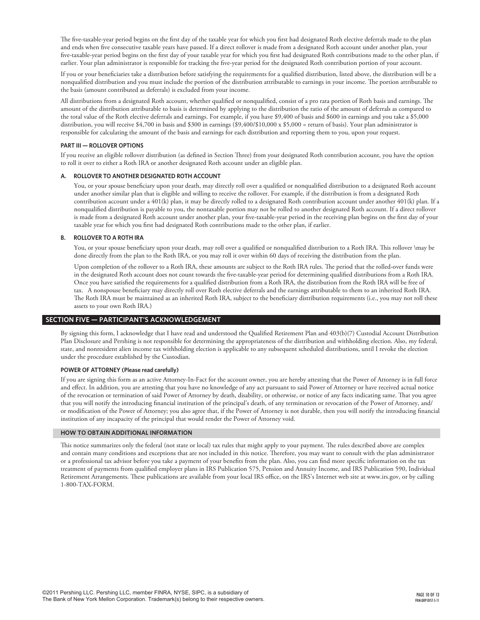The five-taxable-year period begins on the first day of the taxable year for which you first had designated Roth elective deferrals made to the plan and ends when five consecutive taxable years have passed. If a direct rollover is made from a designated Roth account under another plan, your five-taxable-year period begins on the first day of your taxable year for which you first had designated Roth contributions made to the other plan, if earlier. Your plan administrator is responsible for tracking the five-year period for the designated Roth contribution portion of your account.

If you or your beneficiaries take a distribution before satisfying the requirements for a qualified distribution, listed above, the distribution will be a nonqualified distribution and you must include the portion of the distribution attributable to earnings in your income. The portion attributable to the basis (amount contributed as deferrals) is excluded from your income.

All distributions from a designated Roth account, whether qualified or nonqualified, consist of a pro rata portion of Roth basis and earnings. The amount of the distribution attributable to basis is determined by applying to the distribution the ratio of the amount of deferrals as compared to the total value of the Roth elective deferrals and earnings. For example, if you have \$9,400 of basis and \$600 in earnings and you take a \$5,000 distribution, you will receive \$4,700 in basis and \$300 in earnings (\$9,400/\$10,000 x \$5,000 = return of basis). Your plan administrator is responsible for calculating the amount of the basis and earnings for each distribution and reporting them to you, upon your request.

## **PART III — ROLLOVER OPTIONS**

If you receive an eligible rollover distribution (as defined in Section Three) from your designated Roth contribution account, you have the option to roll it over to either a Roth IRA or another designated Roth account under an eligible plan.

## **A.** ROLLOVER TO ANOTHER DESIGNATED ROTH ACCOUNT

You, or your spouse beneficiary upon your death, may directly roll over a qualified or nonqualified distribution to a designated Roth account under another similar plan that is eligible and willing to receive the rollover. For example, if the distribution is from a designated Roth contribution account under a 401(k) plan, it may be directly rolled to a designated Roth contribution account under another 401(k) plan. If a nonqualified distribution is payable to you, the nontaxable portion may not be rolled to another designated Roth account. If a direct rollover is made from a designated Roth account under another plan, your five-taxable-year period in the receiving plan begins on the first day of your taxable year for which you first had designated Roth contributions made to the other plan, if earlier.

## **B. ROLLOVER TO A ROTH IRA**

You, or your spouse beneficiary upon your death, may roll over a qualified or nonqualified distribution to a Roth IRA. This rollover \may be done directly from the plan to the Roth IRA, or you may roll it over within 60 days of receiving the distribution from the plan.

Upon completion of the rollover to a Roth IRA, these amounts are subject to the Roth IRA rules. The period that the rolled-over funds were in the designated Roth account does not count towards the five-taxable-year period for determining qualified distributions from a Roth IRA. Once you have satisfied the requirements for a qualified distribution from a Roth IRA, the distribution from the Roth IRA will be free of tax. A nonspouse beneficiary may directly roll over Roth elective deferrals and the earnings attributable to them to an inherited Roth IRA. The Roth IRA must be maintained as an inherited Roth IRA, subject to the beneficiary distribution requirements (i.e., you may not roll these assets to your own Roth IRA.)

## **section FIVE — PARTICIPANT'S ACKNOWLEDGEMENT**

By signing this form, I acknowledge that I have read and understood the Qualified Retirement Plan and 403(b)(7) Custodial Account Distribution Plan Disclosure and Pershing is not responsible for determining the appropriateness of the distribution and withholding election. Also, my federal, state, and nonresident alien income tax withholding election is applicable to any subsequent scheduled distributions, until I revoke the election under the procedure established by the Custodian.

## **POWER OF ATTORNEY (Please read carefully)**

If you are signing this form as an active Attorney-In-Fact for the account owner, you are hereby attesting that the Power of Attorney is in full force and effect. In addition, you are attesting that you have no knowledge of any act pursuant to said Power of Attorney or have received actual notice of the revocation or termination of said Power of Attorney by death, disability, or otherwise, or notice of any facts indicating same. That you agree that you will notify the introducing financial institution of the principal's death, of any termination or revocation of the Power of Attorney, and/ or modification of the Power of Attorney; you also agree that, if the Power of Attorney is not durable, then you will notify the introducing financial institution of any incapacity of the principal that would render the Power of Attorney void.

## **HOW TO OBTAIN ADDITIONAL information**

This notice summarizes only the federal (not state or local) tax rules that might apply to your payment. The rules described above are complex and contain many conditions and exceptions that are not included in this notice. Therefore, you may want to consult with the plan administrator or a professional tax advisor before you take a payment of your benefits from the plan. Also, you can find more specific information on the tax treatment of payments from qualified employer plans in IRS Publication 575, Pension and Annuity Income, and IRS Publication 590, Individual Retirement Arrangements. These publications are available from your local IRS office, on the IRS's Internet web site at www.irs.gov, or by calling 1-800-TAX-FORM.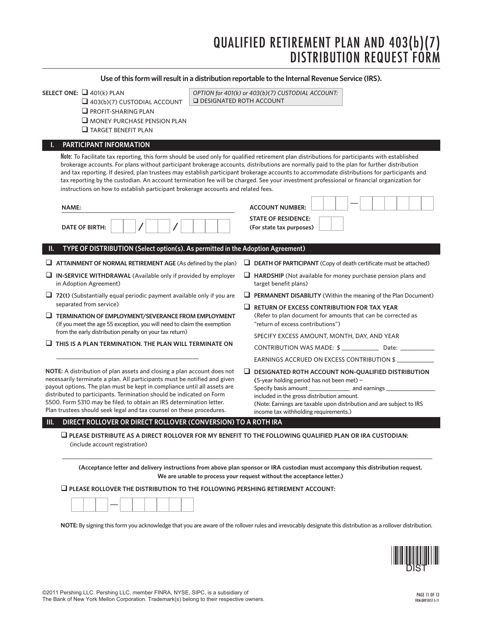# Qualified RETIREMENT PLAN AND 403(b)(7) DISTRIBUTION REQUEST FO

## **Use of this form will result in a distribution reportable to the Internal Revenue Service (IRS).**

| SELECT ONE: $\Box$ 401(k) PLAN<br>$\Box$ 403(b)(7) CUSTODIAL ACCOUNT<br>$\Box$ PROFIT-SHARING PLAN<br>$\Box$ MONEY PURCHASE PENSION PLAN<br>$\Box$ TARGET BENEFIT PLAN                                                                                                                                                                                                                                                                                                                                                                                                                                                                         | OPTION for 401(k) or 403(b)(7) CUSTODIAL ACCOUNT:<br><b>Q DESIGNATED ROTH ACCOUNT</b>                                                                                                                                                                                                                                                                                                                                                                                                                                                                                                     |
|------------------------------------------------------------------------------------------------------------------------------------------------------------------------------------------------------------------------------------------------------------------------------------------------------------------------------------------------------------------------------------------------------------------------------------------------------------------------------------------------------------------------------------------------------------------------------------------------------------------------------------------------|-------------------------------------------------------------------------------------------------------------------------------------------------------------------------------------------------------------------------------------------------------------------------------------------------------------------------------------------------------------------------------------------------------------------------------------------------------------------------------------------------------------------------------------------------------------------------------------------|
| PARTICIPANT INFORMATION                                                                                                                                                                                                                                                                                                                                                                                                                                                                                                                                                                                                                        | Note: To Facilitate tax reporting, this form should be used only for qualified retirement plan distributions for participants with established<br>brokerage accounts. For plans without participant brokerage accounts, distributions are normally paid to the plan for further distribution<br>and tax reporting. If desired, plan trustees may establish participant brokerage accounts to accommodate distributions for participants and<br>tax reporting by the custodian. An account termination fee will be charged. See your investment professional or financial organization for |
| instructions on how to establish participant brokerage accounts and related fees.<br><b>NAME:</b><br><b>DATE OF BIRTH:</b>                                                                                                                                                                                                                                                                                                                                                                                                                                                                                                                     | <b>ACCOUNT NUMBER:</b><br><b>STATE OF RESIDENCE:</b><br>(For state tax purposes)                                                                                                                                                                                                                                                                                                                                                                                                                                                                                                          |
| TYPE OF DISTRIBUTION (Select option(s). As permitted in the Adoption Agreement)<br>Ш.<br>$\Box$ ATTAINMENT OF NORMAL RETIREMENT AGE (As defined by the plan)<br>$\Box$ IN-SERVICE WITHDRAWAL (Available only if provided by employer<br>in Adoption Agreement)<br>$\Box$ 72(t) (Substantially equal periodic payment available only if you are<br>separated from service)<br>$\Box$ TERMINATION OF EMPLOYMENT/SEVERANCE FROM EMPLOYMENT<br>(If you meet the age 55 exception, you will need to claim the exemption<br>from the early distribution penalty on your tax return)<br>$\Box$ THIS IS A PLAN TERMINATION. THE PLAN WILL TERMINATE ON | $\Box$ DEATH OF PARTICIPANT (Copy of death certificate must be attached)<br>$\Box$ HARDSHIP (Not available for money purchase pension plans and<br>target benefit plans)<br>$\Box$ PERMANENT DISABILITY (Within the meaning of the Plan Document)<br>$\Box$ RETURN OF EXCESS CONTRIBUTION FOR TAX YEAR<br>(Refer to plan document for amounts that can be corrected as<br>"return of excess contributions")<br>SPECIFY EXCESS AMOUNT, MONTH, DAY, AND YEAR<br>CONTRIBUTION WAS MADE: \$ ________________ Date: ____________                                                               |
| <b>NOTE:</b> A distribution of plan assets and closing a plan account does not<br>necessarily terminate a plan. All participants must be notified and given<br>payout options. The plan must be kept in compliance until all assets are<br>distributed to participants. Termination should be indicated on Form<br>5500. Form 5310 may be filed, to obtain an IRS determination letter.<br>Plan trustees should seek legal and tax counsel on these procedures.                                                                                                                                                                                | EARNINGS ACCRUED ON EXCESS CONTRIBUTION \$<br>$\Box$ DESIGNATED ROTH ACCOUNT NON-QUALIFIED DISTRIBUTION<br>(5-year holding period has not been met) $-$<br>Specify basis amount __________________ and earnings _<br>included in the gross distribution amount.<br>(Note: Earnings are taxable upon distribution and are subject to IRS<br>income tax withholding requirements.)                                                                                                                                                                                                          |
| III.<br>DIRECT ROLLOVER OR DIRECT ROLLOVER (CONVERSION) TO A ROTH IRA<br>(include account registration)                                                                                                                                                                                                                                                                                                                                                                                                                                                                                                                                        | $\square$ PLEASE DISTRIBUTE AS A DIRECT ROLLOVER FOR MY BENEFIT TO THE FOLLOWING QUALIFIED PLAN OR IRA CUSTODIAN:<br>(Acceptance letter and delivery instructions from above plan sponsor or IRA custodian must accompany this distribution request.<br>We are unable to process your request without the acceptance letter.)                                                                                                                                                                                                                                                             |
|                                                                                                                                                                                                                                                                                                                                                                                                                                                                                                                                                                                                                                                | $\square$ PLEASE ROLLOVER THE DISTRIBUTION TO THE FOLLOWING PERSHING RETIREMENT ACCOUNT:                                                                                                                                                                                                                                                                                                                                                                                                                                                                                                  |



**NOTE:** By signing this form you acknowledge that you are aware of the rollover rules and irrevocably designate this distribution as a rollover distribution.

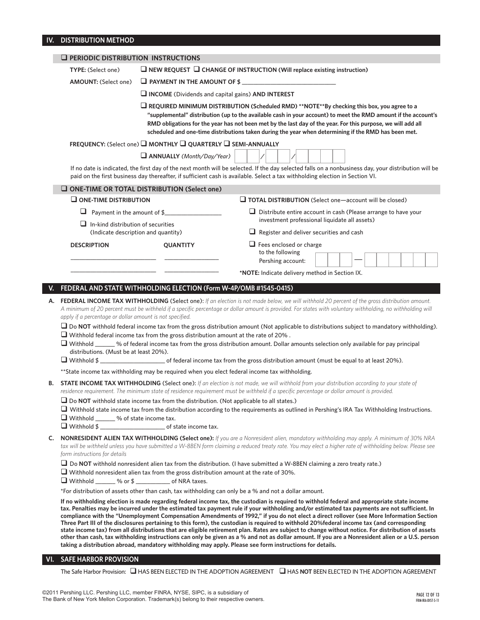## **IV. DISTRIBUTION METHOD**

|    | <b>Q PERIODIC DISTRIBUTION INSTRUCTIONS</b>                                                                                                                                                                                                                                                                                         |                                                                                                   |                                                                                                                                                                                                                                                                                                                                                                                                                                                                                                                                                                                                                                                                                                                                                                                                                                                                                                                                                                                                            |  |  |
|----|-------------------------------------------------------------------------------------------------------------------------------------------------------------------------------------------------------------------------------------------------------------------------------------------------------------------------------------|---------------------------------------------------------------------------------------------------|------------------------------------------------------------------------------------------------------------------------------------------------------------------------------------------------------------------------------------------------------------------------------------------------------------------------------------------------------------------------------------------------------------------------------------------------------------------------------------------------------------------------------------------------------------------------------------------------------------------------------------------------------------------------------------------------------------------------------------------------------------------------------------------------------------------------------------------------------------------------------------------------------------------------------------------------------------------------------------------------------------|--|--|
|    | TYPE: (Select one)                                                                                                                                                                                                                                                                                                                  | $\Box$ NEW REQUEST $\Box$ CHANGE OF INSTRUCTION (Will replace existing instruction)               |                                                                                                                                                                                                                                                                                                                                                                                                                                                                                                                                                                                                                                                                                                                                                                                                                                                                                                                                                                                                            |  |  |
|    | <b>AMOUNT:</b> (Select one)                                                                                                                                                                                                                                                                                                         | $\Box$ PAYMENT IN THE AMOUNT OF \$                                                                |                                                                                                                                                                                                                                                                                                                                                                                                                                                                                                                                                                                                                                                                                                                                                                                                                                                                                                                                                                                                            |  |  |
|    |                                                                                                                                                                                                                                                                                                                                     | $\Box$ INCOME (Dividends and capital gains) AND INTEREST                                          |                                                                                                                                                                                                                                                                                                                                                                                                                                                                                                                                                                                                                                                                                                                                                                                                                                                                                                                                                                                                            |  |  |
|    |                                                                                                                                                                                                                                                                                                                                     | REQUIRED MINIMUM DISTRIBUTION (Scheduled RMD) **NOTE**By checking this box, you agree to a        |                                                                                                                                                                                                                                                                                                                                                                                                                                                                                                                                                                                                                                                                                                                                                                                                                                                                                                                                                                                                            |  |  |
|    |                                                                                                                                                                                                                                                                                                                                     |                                                                                                   | "supplemental" distribution (up to the available cash in your account) to meet the RMD amount if the account's<br>RMD obligations for the year has not been met by the last day of the year. For this purpose, we will add all<br>scheduled and one-time distributions taken during the year when determining if the RMD has been met.                                                                                                                                                                                                                                                                                                                                                                                                                                                                                                                                                                                                                                                                     |  |  |
|    |                                                                                                                                                                                                                                                                                                                                     | FREQUENCY: (Select one) WONTHLY WOUARTERLY WISEMI-ANNUALLY                                        |                                                                                                                                                                                                                                                                                                                                                                                                                                                                                                                                                                                                                                                                                                                                                                                                                                                                                                                                                                                                            |  |  |
|    |                                                                                                                                                                                                                                                                                                                                     | ANNUALLY (Month/Day/Year)                                                                         |                                                                                                                                                                                                                                                                                                                                                                                                                                                                                                                                                                                                                                                                                                                                                                                                                                                                                                                                                                                                            |  |  |
|    |                                                                                                                                                                                                                                                                                                                                     |                                                                                                   | If no date is indicated, the first day of the next month will be selected. If the day selected falls on a nonbusiness day, your distribution will be<br>paid on the first business day thereafter, if sufficient cash is available. Select a tax withholding election in Section VI.                                                                                                                                                                                                                                                                                                                                                                                                                                                                                                                                                                                                                                                                                                                       |  |  |
|    |                                                                                                                                                                                                                                                                                                                                     | $\Box$ ONE-TIME OR TOTAL DISTRIBUTION (Select one)                                                |                                                                                                                                                                                                                                                                                                                                                                                                                                                                                                                                                                                                                                                                                                                                                                                                                                                                                                                                                                                                            |  |  |
|    | $\square$ ONE-TIME DISTRIBUTION                                                                                                                                                                                                                                                                                                     |                                                                                                   | $\Box$ TOTAL DISTRIBUTION (Select one—account will be closed)                                                                                                                                                                                                                                                                                                                                                                                                                                                                                                                                                                                                                                                                                                                                                                                                                                                                                                                                              |  |  |
|    |                                                                                                                                                                                                                                                                                                                                     | $\Box$ Payment in the amount of \$                                                                | $\Box$ Distribute entire account in cash (Please arrange to have your                                                                                                                                                                                                                                                                                                                                                                                                                                                                                                                                                                                                                                                                                                                                                                                                                                                                                                                                      |  |  |
|    | $\Box$ In-kind distribution of securities                                                                                                                                                                                                                                                                                           |                                                                                                   | investment professional liquidate all assets)                                                                                                                                                                                                                                                                                                                                                                                                                                                                                                                                                                                                                                                                                                                                                                                                                                                                                                                                                              |  |  |
|    | (Indicate description and quantity)                                                                                                                                                                                                                                                                                                 |                                                                                                   | $\Box$ Register and deliver securities and cash                                                                                                                                                                                                                                                                                                                                                                                                                                                                                                                                                                                                                                                                                                                                                                                                                                                                                                                                                            |  |  |
|    | <b>DESCRIPTION</b>                                                                                                                                                                                                                                                                                                                  | <b>QUANTITY</b>                                                                                   | $\Box$ Fees enclosed or charge<br>to the following                                                                                                                                                                                                                                                                                                                                                                                                                                                                                                                                                                                                                                                                                                                                                                                                                                                                                                                                                         |  |  |
|    |                                                                                                                                                                                                                                                                                                                                     |                                                                                                   | Pershing account:                                                                                                                                                                                                                                                                                                                                                                                                                                                                                                                                                                                                                                                                                                                                                                                                                                                                                                                                                                                          |  |  |
|    |                                                                                                                                                                                                                                                                                                                                     |                                                                                                   | *NOTE: Indicate delivery method in Section IX.                                                                                                                                                                                                                                                                                                                                                                                                                                                                                                                                                                                                                                                                                                                                                                                                                                                                                                                                                             |  |  |
|    |                                                                                                                                                                                                                                                                                                                                     | FEDERAL AND STATE WITHHOLDING ELECTION (Form W-4P/OMB #1545-0415)                                 |                                                                                                                                                                                                                                                                                                                                                                                                                                                                                                                                                                                                                                                                                                                                                                                                                                                                                                                                                                                                            |  |  |
| А. | apply if a percentage or dollar amount is not specified.<br>distributions. (Must be at least 20%).                                                                                                                                                                                                                                  | $\Box$ Withhold federal income tax from the gross distribution amount at the rate of 20%.         | FEDERAL INCOME TAX WITHHOLDING (Select one): If an election is not made below, we will withhold 20 percent of the gross distribution amount.<br>A minimum of 20 percent must be withheld if a specific percentage or dollar amount is provided. For states with voluntary withholding, no withholding will<br>$\Box$ Do NOT withhold federal income tax from the gross distribution amount (Not applicable to distributions subject to mandatory withholding).<br>$\Box$ Withhold ______ % of federal income tax from the gross distribution amount. Dollar amounts selection only available for pay principal<br>U Withhold \$                                                                                                                                                                                                                                                                                                                                                                            |  |  |
|    |                                                                                                                                                                                                                                                                                                                                     | ** State income tax withholding may be required when you elect federal income tax withholding.    |                                                                                                                                                                                                                                                                                                                                                                                                                                                                                                                                                                                                                                                                                                                                                                                                                                                                                                                                                                                                            |  |  |
| в. |                                                                                                                                                                                                                                                                                                                                     |                                                                                                   | <b>STATE INCOME TAX WITHHOLDING</b> (Select one): If an election is not made, we will withhold from your distribution according to your state of<br>residence requirement. The minimum state of residence requirement must be withheld if a specific percentage or dollar amount is provided.                                                                                                                                                                                                                                                                                                                                                                                                                                                                                                                                                                                                                                                                                                              |  |  |
|    | $\Box$ Withhold ______ % of state income tax.                                                                                                                                                                                                                                                                                       | $\square$ Do NOT withhold state income tax from the distribution. (Not applicable to all states.) | $\Box$ Withhold state income tax from the distribution according to the requirements as outlined in Pershing's IRA Tax Withholding Instructions.                                                                                                                                                                                                                                                                                                                                                                                                                                                                                                                                                                                                                                                                                                                                                                                                                                                           |  |  |
| C. | NONRESIDENT ALIEN TAX WITHHOLDING (Select one): If you are a Nonresident alien, mandatory withholding may apply. A minimum of 30% NRA<br>tax will be withheld unless you have submitted a W-8BEN form claiming a reduced treaty rate. You may elect a higher rate of withholding below. Please see<br>form instructions for details |                                                                                                   |                                                                                                                                                                                                                                                                                                                                                                                                                                                                                                                                                                                                                                                                                                                                                                                                                                                                                                                                                                                                            |  |  |
|    | $\Box$ Withhold _______ % or \$ _______________ of NRA taxes.                                                                                                                                                                                                                                                                       | $\Box$ Withhold nonresident alien tax from the gross distribution amount at the rate of 30%.      | $\Box$ Do NOT withhold nonresident alien tax from the distribution. (I have submitted a W-8BEN claiming a zero treaty rate.)                                                                                                                                                                                                                                                                                                                                                                                                                                                                                                                                                                                                                                                                                                                                                                                                                                                                               |  |  |
|    |                                                                                                                                                                                                                                                                                                                                     |                                                                                                   | *For distribution of assets other than cash, tax withholding can only be a % and not a dollar amount.                                                                                                                                                                                                                                                                                                                                                                                                                                                                                                                                                                                                                                                                                                                                                                                                                                                                                                      |  |  |
|    |                                                                                                                                                                                                                                                                                                                                     |                                                                                                   | If no withholding election is made regarding federal income tax, the custodian is required to withhold federal and appropriate state income<br>tax. Penalties may be incurred under the estimated tax payment rule if your withholding and/or estimated tax payments are not sufficient. In<br>compliance with the "Unemployment Compensation Amendments of 1992," if you do not elect a direct rollover (see More Information Section<br>Three Part III of the disclosures pertaining to this form), the custodian is required to withhold 20%federal income tax (and corresponding<br>state income tax) from all distributions that are eligible retirement plan. Rates are subject to change without notice. For distribution of assets<br>other than cash, tax withholding instructions can only be given as a % and not as dollar amount. If you are a Nonresident alien or a U.S. person<br>taking a distribution abroad, mandatory withholding may apply. Please see form instructions for details. |  |  |

## **VI. SAFE HARBOR PROVISION**

The Safe Harbor Provision:  $\Box$  HAS BEEN ELECTED IN THE ADOPTION AGREEMENT  $\Box$  HAS **NOT** BEEN ELECTED IN THE ADOPTION AGREEMENT